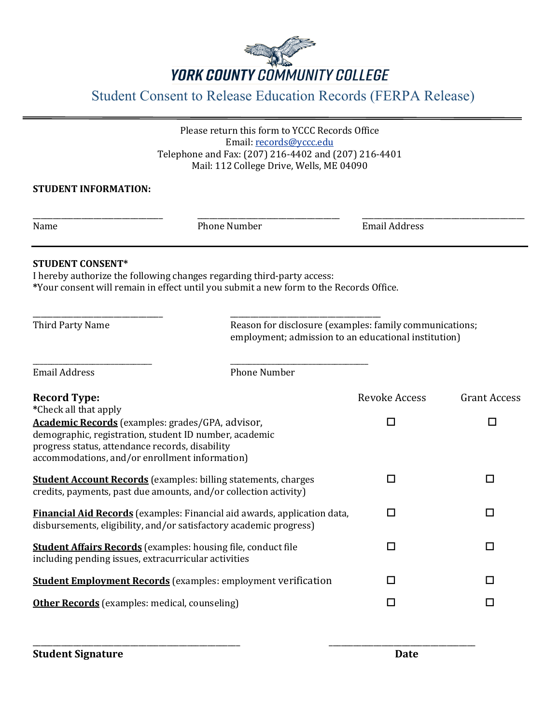

## Student Consent to Release Education Records (FERPA Release)

Please return this form to YCCC Records Office Email[: records@yccc.edu](mailto:records@yccc.edu) Telephone and Fax: (207) 216-4402 and (207) 216-4401 Mail: 112 College Drive, Wells, ME 04090

## **STUDENT INFORMATION:**

\_\_\_\_\_\_\_\_\_\_\_\_\_\_\_\_\_\_\_\_\_\_\_\_\_\_\_\_\_\_\_\_ \_\_\_\_\_\_\_\_\_\_\_\_\_\_\_\_\_\_\_\_\_\_\_\_\_\_\_\_\_\_\_\_\_\_\_ \_\_\_\_\_\_\_\_\_\_\_\_\_\_\_\_\_\_\_\_\_\_\_\_\_\_\_\_\_\_\_\_\_\_\_\_\_\_\_\_

Name **Number** Phone Number **Email Address** 

## **STUDENT CONSENT\***

I hereby authorize the following changes regarding third-party access: **\***Your consent will remain in effect until you submit a new form to the Records Office.

\_\_\_\_\_\_\_\_\_\_\_\_\_\_\_\_\_\_\_\_\_\_\_\_\_\_\_\_\_\_\_\_ \_\_\_\_\_\_\_\_\_\_\_\_\_\_\_\_\_\_\_\_\_\_\_\_\_\_\_\_\_\_\_\_\_\_\_\_\_

\_\_\_\_\_\_\_\_\_\_\_\_\_\_\_\_\_\_\_\_\_\_\_\_\_\_\_\_\_\_\_\_ \_\_\_\_\_\_\_\_\_\_\_\_\_\_\_\_\_\_\_\_\_\_\_\_\_\_\_\_\_\_\_\_\_\_\_\_\_ Third Party Name **Reason for disclosure (examples: family communications**; employment; admission to an educational institution)

| Email Address                                                                                                                                         | Phone Number |                      |                     |
|-------------------------------------------------------------------------------------------------------------------------------------------------------|--------------|----------------------|---------------------|
| <b>Record Type:</b>                                                                                                                                   |              | <b>Revoke Access</b> | <b>Grant Access</b> |
| *Check all that apply                                                                                                                                 |              |                      |                     |
| Academic Records (examples: grades/GPA, advisor,<br>demographic, registration, student ID number, academic                                            |              | П                    | п                   |
| progress status, attendance records, disability<br>accommodations, and/or enrollment information)                                                     |              |                      |                     |
| <b>Student Account Records</b> (examples: billing statements, charges<br>credits, payments, past due amounts, and/or collection activity)             |              | П                    |                     |
| <b>Financial Aid Records</b> (examples: Financial aid awards, application data,<br>disbursements, eligibility, and/or satisfactory academic progress) |              | П                    | □                   |
| <b>Student Affairs Records</b> (examples: housing file, conduct file<br>including pending issues, extracurricular activities                          |              | П                    | $\Box$              |
| <b>Student Employment Records</b> (examples: employment verification                                                                                  |              | П                    | П                   |
| <b>Other Records</b> (examples: medical, counseling)                                                                                                  |              | П                    | □                   |
|                                                                                                                                                       |              |                      |                     |